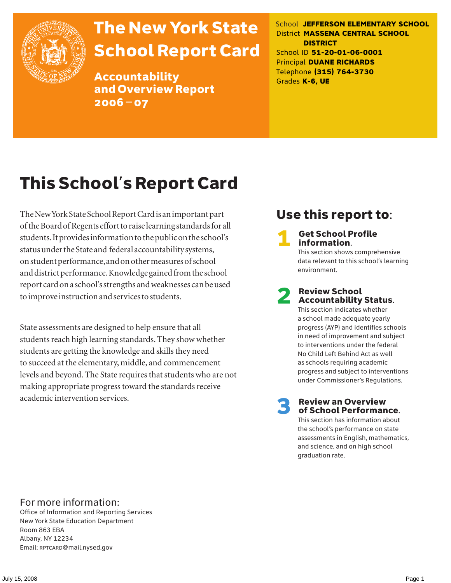

# The New York State School Report Card

Accountability and Overview Report 2006–07

School **JEFFERSON ELEMENTARY SCHOOL** District **MASSENA CENTRAL SCHOOL DISTRICT** School ID **51-20-01-06-0001** Principal **DUANE RICHARDS** Telephone **(315) 764-3730** Grades **K-6, UE**

# This School's Report Card

The New York State School Report Card is an important part of the Board of Regents effort to raise learning standards for all students. It provides information to the public on the school's status under the State and federal accountability systems, on student performance, and on other measures of school and district performance. Knowledge gained from the school report card on a school's strengths and weaknesses can be used to improve instruction and services to students.

State assessments are designed to help ensure that all students reach high learning standards. They show whether students are getting the knowledge and skills they need to succeed at the elementary, middle, and commencement levels and beyond. The State requires that students who are not making appropriate progress toward the standards receive academic intervention services.

### Use this report to:

**Get School Profile** information.

This section shows comprehensive data relevant to this school's learning environment.

# 2 Review School Accountability Status.

This section indicates whether a school made adequate yearly progress (AYP) and identifies schools in need of improvement and subject to interventions under the federal No Child Left Behind Act as well as schools requiring academic progress and subject to interventions under Commissioner's Regulations.

**Review an Overview** of School Performance.

This section has information about the school's performance on state assessments in English, mathematics, and science, and on high school graduation rate.

### For more information:

Office of Information and Reporting Services New York State Education Department Room 863 EBA Albany, NY 12234 Email: RPTCARD@mail.nysed.gov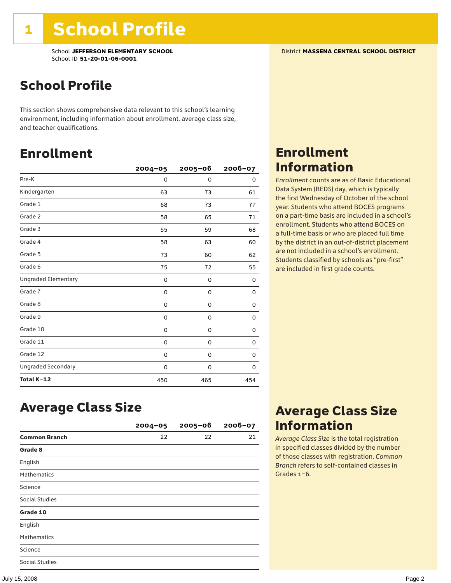### School Profile

This section shows comprehensive data relevant to this school's learning environment, including information about enrollment, average class size, and teacher qualifications.

### Enrollment

|                            | $2004 - 05$ | $2005 - 06$ | 2006-07 |
|----------------------------|-------------|-------------|---------|
| Pre-K                      | 0           | 0           | 0       |
| Kindergarten               | 63          | 73          | 61      |
| Grade 1                    | 68          | 73          | 77      |
| Grade 2                    | 58          | 65          | 71      |
| Grade 3                    | 55          | 59          | 68      |
| Grade 4                    | 58          | 63          | 60      |
| Grade 5                    | 73          | 60          | 62      |
| Grade 6                    | 75          | 72          | 55      |
| <b>Ungraded Elementary</b> | 0           | 0           | 0       |
| Grade 7                    | 0           | 0           | 0       |
| Grade 8                    | 0           | 0           | 0       |
| Grade 9                    | 0           | 0           | 0       |
| Grade 10                   | 0           | 0           | 0       |
| Grade 11                   | 0           | 0           | 0       |
| Grade 12                   | 0           | 0           | 0       |
| <b>Ungraded Secondary</b>  | 0           | 0           | 0       |
| Total K-12                 | 450         | 465         | 454     |

### Enrollment Information

*Enrollment* counts are as of Basic Educational Data System (BEDS) day, which is typically the first Wednesday of October of the school year. Students who attend BOCES programs on a part-time basis are included in a school's enrollment. Students who attend BOCES on a full-time basis or who are placed full time by the district in an out-of-district placement are not included in a school's enrollment. Students classified by schools as "pre-first" are included in first grade counts.

### Average Class Size

|                       | $2004 - 05$ | $2005 - 06$ | $2006 - 07$ |
|-----------------------|-------------|-------------|-------------|
| <b>Common Branch</b>  | 22          | 22          | 21          |
| Grade 8               |             |             |             |
| English               |             |             |             |
| <b>Mathematics</b>    |             |             |             |
| Science               |             |             |             |
| <b>Social Studies</b> |             |             |             |
| Grade 10              |             |             |             |
| English               |             |             |             |
| <b>Mathematics</b>    |             |             |             |
| Science               |             |             |             |
| <b>Social Studies</b> |             |             |             |

### Average Class Size Information

*Average Class Size* is the total registration in specified classes divided by the number of those classes with registration. *Common Branch* refers to self-contained classes in Grades 1–6.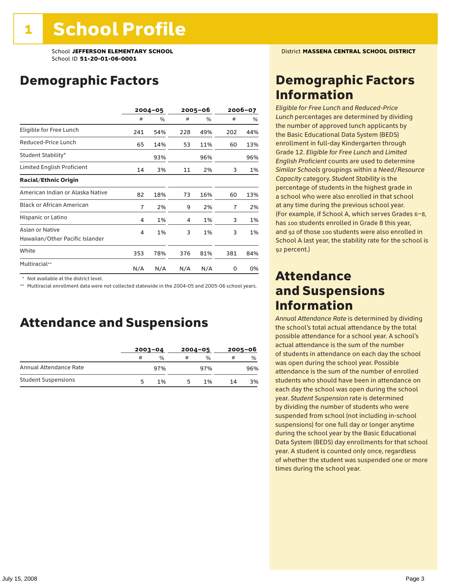School **JEFFERSON ELEMENTARY SCHOOL** District **MASSENA CENTRAL SCHOOL DISTRICT** School ID **51-20-01-06-0001**

### Demographic Factors

|                                                    |                | $2004 - 05$ | 2005–06 |     | 2006-07        |     |
|----------------------------------------------------|----------------|-------------|---------|-----|----------------|-----|
|                                                    | #              | %           | #       | %   | #              | %   |
| Eligible for Free Lunch                            | 241            | 54%         | 228     | 49% | 202            | 44% |
| Reduced-Price Lunch                                | 65             | 14%         | 53      | 11% | 60             | 13% |
| Student Stability*                                 |                | 93%         |         | 96% |                | 96% |
| Limited English Proficient                         | 14             | 3%          | 11      | 2%  | 3              | 1%  |
| <b>Racial/Ethnic Origin</b>                        |                |             |         |     |                |     |
| American Indian or Alaska Native                   | 82             | 18%         | 73      | 16% | 60             | 13% |
| <b>Black or African American</b>                   | $\overline{7}$ | 2%          | 9       | 2%  | $\overline{1}$ | 2%  |
| Hispanic or Latino                                 | 4              | 1%          | 4       | 1%  | 3              | 1%  |
| Asian or Native<br>Hawaiian/Other Pacific Islander | 4              | 1%          | 3       | 1%  | 3              | 1%  |
| White                                              | 353            | 78%         | 376     | 81% | 381            | 84% |
| Multiracial**                                      | N/A            | N/A         | N/A     | N/A | 0              | 0%  |

\* Not available at the district level.

\*\* Multiracial enrollment data were not collected statewide in the 2004-05 and 2005-06 school years.

### Attendance and Suspensions

|                            |   | $2003 - 04$ |   | $2004 - 05$   |    | $2005 - 06$   |  |
|----------------------------|---|-------------|---|---------------|----|---------------|--|
|                            | # | %           | # | $\frac{0}{0}$ | #  | $\frac{1}{2}$ |  |
| Annual Attendance Rate     |   | 97%         |   | 97%           |    | 96%           |  |
| <b>Student Suspensions</b> | 5 | 1%          | 5 | 1%            | 14 | 3%            |  |

### Demographic Factors Information

*Eligible for Free Lunch* and *Reduced*-*Price Lunch* percentages are determined by dividing the number of approved lunch applicants by the Basic Educational Data System (BEDS) enrollment in full-day Kindergarten through Grade 12. *Eligible for Free Lunch* and *Limited English Proficient* counts are used to determine *Similar Schools* groupings within a *Need*/*Resource Capacity* category. *Student Stability* is the percentage of students in the highest grade in a school who were also enrolled in that school at any time during the previous school year. (For example, if School A, which serves Grades 6–8, has 100 students enrolled in Grade 8 this year, and 92 of those 100 students were also enrolled in School A last year, the stability rate for the school is 92 percent.)

### Attendance and Suspensions Information

*Annual Attendance Rate* is determined by dividing the school's total actual attendance by the total possible attendance for a school year. A school's actual attendance is the sum of the number of students in attendance on each day the school was open during the school year. Possible attendance is the sum of the number of enrolled students who should have been in attendance on each day the school was open during the school year. *Student Suspension* rate is determined by dividing the number of students who were suspended from school (not including in-school suspensions) for one full day or longer anytime during the school year by the Basic Educational Data System (BEDS) day enrollments for that school year. A student is counted only once, regardless of whether the student was suspended one or more times during the school year.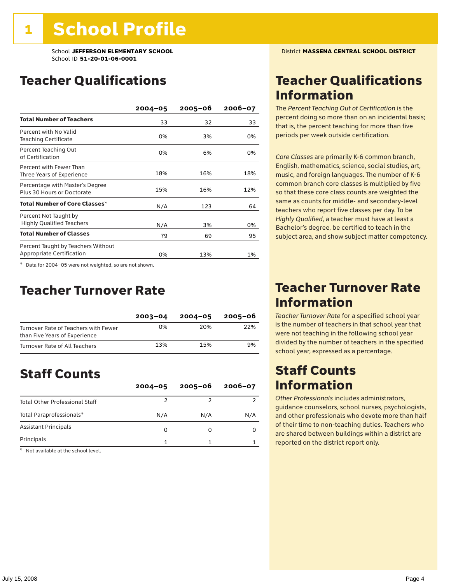School **JEFFERSON ELEMENTARY SCHOOL** District **MASSENA CENTRAL SCHOOL DISTRICT** School ID **51-20-01-06-0001**

### Teacher Qualifications

|                                                                        | $2004 - 05$ | $2005 - 06$ | 2006-07 |
|------------------------------------------------------------------------|-------------|-------------|---------|
| <b>Total Number of Teachers</b>                                        | 33          | 32          | 33      |
| Percent with No Valid<br><b>Teaching Certificate</b>                   | 0%          | 3%          | 0%      |
| Percent Teaching Out<br>of Certification                               | 0%          | 6%          | 0%      |
| Percent with Fewer Than<br>Three Years of Experience                   | 18%         | 16%         | 18%     |
| Percentage with Master's Degree<br>Plus 30 Hours or Doctorate          | 15%         | 16%         | 12%     |
| Total Number of Core Classes*                                          | N/A         | 123         | 64      |
| Percent Not Taught by<br><b>Highly Qualified Teachers</b>              | N/A         | 3%          | 0%      |
| <b>Total Number of Classes</b>                                         | 79          | 69          | 95      |
| Percent Taught by Teachers Without<br><b>Appropriate Certification</b> | 0%          | 13%         | 1%      |

\* Data for 2004–05 were not weighted, so are not shown.

### Teacher Turnover Rate

|                                                                       | $2003 - 04$ | $2004 - 05$ | 2005-06 |
|-----------------------------------------------------------------------|-------------|-------------|---------|
| Turnover Rate of Teachers with Fewer<br>than Five Years of Experience | 0%          | 20%         | 22%     |
| Turnover Rate of All Teachers                                         | 13%         | 15%         | 9%      |

### Staff Counts

|                                       | $2004 - 05$ | $2005 - 06$ | $2006 - 07$ |
|---------------------------------------|-------------|-------------|-------------|
| <b>Total Other Professional Staff</b> |             |             |             |
| Total Paraprofessionals*              | N/A         | N/A         | N/A         |
| <b>Assistant Principals</b>           |             |             |             |
| Principals                            |             |             |             |

\* Not available at the school level.

### Teacher Qualifications Information

The *Percent Teaching Out of Certification* is the percent doing so more than on an incidental basis; that is, the percent teaching for more than five periods per week outside certification.

*Core Classes* are primarily K-6 common branch, English, mathematics, science, social studies, art, music, and foreign languages. The number of K-6 common branch core classes is multiplied by five so that these core class counts are weighted the same as counts for middle- and secondary-level teachers who report five classes per day. To be *Highly Qualified*, a teacher must have at least a Bachelor's degree, be certified to teach in the subject area, and show subject matter competency.

### Teacher Turnover Rate Information

*Teacher Turnover Rate* for a specified school year is the number of teachers in that school year that were not teaching in the following school year divided by the number of teachers in the specified school year, expressed as a percentage.

### Staff Counts Information

*Other Professionals* includes administrators, guidance counselors, school nurses, psychologists, and other professionals who devote more than half of their time to non-teaching duties. Teachers who are shared between buildings within a district are reported on the district report only.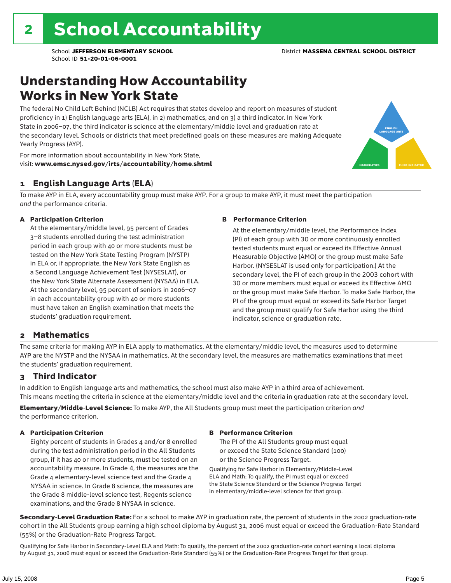### Understanding How Accountability Works in New York State

The federal No Child Left Behind (NCLB) Act requires that states develop and report on measures of student proficiency in 1) English language arts (ELA), in 2) mathematics, and on 3) a third indicator. In New York State in 2006–07, the third indicator is science at the elementary/middle level and graduation rate at the secondary level. Schools or districts that meet predefined goals on these measures are making Adequate Yearly Progress (AYP).



For more information about accountability in New York State, visit: www.emsc.nysed.gov/irts/accountability/home.shtml

#### 1 English Language Arts (ELA)

To make AYP in ELA, every accountability group must make AYP. For a group to make AYP, it must meet the participation *and* the performance criteria.

#### A Participation Criterion

At the elementary/middle level, 95 percent of Grades 3–8 students enrolled during the test administration period in each group with 40 or more students must be tested on the New York State Testing Program (NYSTP) in ELA or, if appropriate, the New York State English as a Second Language Achievement Test (NYSESLAT), or the New York State Alternate Assessment (NYSAA) in ELA. At the secondary level, 95 percent of seniors in 2006–07 in each accountability group with 40 or more students must have taken an English examination that meets the students' graduation requirement.

#### B Performance Criterion

At the elementary/middle level, the Performance Index (PI) of each group with 30 or more continuously enrolled tested students must equal or exceed its Effective Annual Measurable Objective (AMO) or the group must make Safe Harbor. (NYSESLAT is used only for participation.) At the secondary level, the PI of each group in the 2003 cohort with 30 or more members must equal or exceed its Effective AMO or the group must make Safe Harbor. To make Safe Harbor, the PI of the group must equal or exceed its Safe Harbor Target and the group must qualify for Safe Harbor using the third indicator, science or graduation rate.

#### 2 Mathematics

The same criteria for making AYP in ELA apply to mathematics. At the elementary/middle level, the measures used to determine AYP are the NYSTP and the NYSAA in mathematics. At the secondary level, the measures are mathematics examinations that meet the students' graduation requirement.

#### 3 Third Indicator

In addition to English language arts and mathematics, the school must also make AYP in a third area of achievement. This means meeting the criteria in science at the elementary/middle level and the criteria in graduation rate at the secondary level.

Elementary/Middle-Level Science: To make AYP, the All Students group must meet the participation criterion *and* the performance criterion.

#### A Participation Criterion

Eighty percent of students in Grades 4 and/or 8 enrolled during the test administration period in the All Students group, if it has 40 or more students, must be tested on an accountability measure. In Grade 4, the measures are the Grade 4 elementary-level science test and the Grade 4 NYSAA in science. In Grade 8 science, the measures are the Grade 8 middle-level science test, Regents science examinations, and the Grade 8 NYSAA in science.

#### B Performance Criterion

The PI of the All Students group must equal or exceed the State Science Standard (100) or the Science Progress Target.

Qualifying for Safe Harbor in Elementary/Middle-Level ELA and Math: To qualify, the PI must equal or exceed the State Science Standard or the Science Progress Target in elementary/middle-level science for that group.

Secondary-Level Graduation Rate: For a school to make AYP in graduation rate, the percent of students in the 2002 graduation-rate cohort in the All Students group earning a high school diploma by August 31, 2006 must equal or exceed the Graduation-Rate Standard (55%) or the Graduation-Rate Progress Target.

Qualifying for Safe Harbor in Secondary-Level ELA and Math: To qualify, the percent of the 2002 graduation-rate cohort earning a local diploma by August 31, 2006 must equal or exceed the Graduation-Rate Standard (55%) or the Graduation-Rate Progress Target for that group.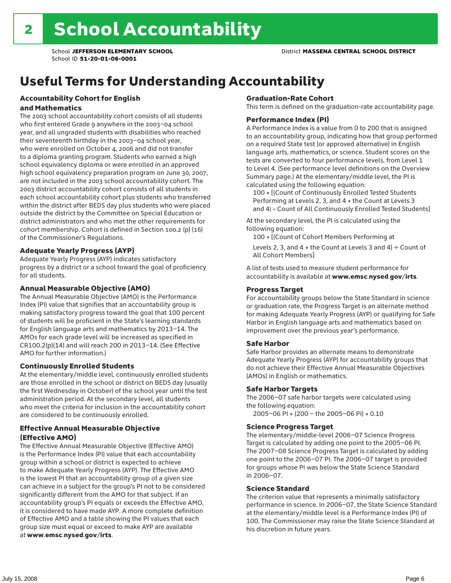## Useful Terms for Understanding Accountability

#### Accountability Cohort for English and Mathematics

The 2003 school accountability cohort consists of all students who first entered Grade 9 anywhere in the 2003–04 school year, and all ungraded students with disabilities who reached their seventeenth birthday in the 2003–04 school year, who were enrolled on October 4, 2006 and did not transfer to a diploma granting program. Students who earned a high school equivalency diploma or were enrolled in an approved high school equivalency preparation program on June 30, 2007, are not included in the 2003 school accountability cohort. The 2003 district accountability cohort consists of all students in each school accountability cohort plus students who transferred within the district after BEDS day plus students who were placed outside the district by the Committee on Special Education or district administrators and who met the other requirements for cohort membership. Cohort is defined in Section 100.2 (p) (16) of the Commissioner's Regulations.

#### Adequate Yearly Progress (AYP)

Adequate Yearly Progress (AYP) indicates satisfactory progress by a district or a school toward the goal of proficiency for all students.

#### Annual Measurable Objective (AMO)

The Annual Measurable Objective (AMO) is the Performance Index (PI) value that signifies that an accountability group is making satisfactory progress toward the goal that 100 percent of students will be proficient in the State's learning standards for English language arts and mathematics by 2013–14. The AMOs for each grade level will be increased as specified in CR100.2(p)(14) and will reach 200 in 2013–14. (See Effective AMO for further information.)

#### Continuously Enrolled Students

At the elementary/middle level, continuously enrolled students are those enrolled in the school or district on BEDS day (usually the first Wednesday in October) of the school year until the test administration period. At the secondary level, all students who meet the criteria for inclusion in the accountability cohort are considered to be continuously enrolled.

#### Effective Annual Measurable Objective (Effective AMO)

The Effective Annual Measurable Objective (Effective AMO) is the Performance Index (PI) value that each accountability group within a school or district is expected to achieve to make Adequate Yearly Progress (AYP). The Effective AMO is the lowest PI that an accountability group of a given size can achieve in a subject for the group's PI not to be considered significantly different from the AMO for that subject. If an accountability group's PI equals or exceeds the Effective AMO, it is considered to have made AYP. A more complete definition of Effective AMO and a table showing the PI values that each group size must equal or exceed to make AYP are available at www.emsc.nysed.gov/irts.

#### Graduation-Rate Cohort

This term is defined on the graduation-rate accountability page.

#### Performance Index (PI)

A Performance Index is a value from 0 to 200 that is assigned to an accountability group, indicating how that group performed on a required State test (or approved alternative) in English language arts, mathematics, or science. Student scores on the tests are converted to four performance levels, from Level 1 to Level 4. (See performance level definitions on the Overview Summary page.) At the elementary/middle level, the PI is calculated using the following equation:

100 × [(Count of Continuously Enrolled Tested Students Performing at Levels 2, 3, and 4 + the Count at Levels 3 and 4) ÷ Count of All Continuously Enrolled Tested Students]

At the secondary level, the PI is calculated using the following equation:

100 × [(Count of Cohort Members Performing at

Levels 2, 3, and 4 + the Count at Levels 3 and 4)  $\div$  Count of All Cohort Members]

A list of tests used to measure student performance for accountability is available at www.emsc.nysed.gov/irts.

#### Progress Target

For accountability groups below the State Standard in science or graduation rate, the Progress Target is an alternate method for making Adequate Yearly Progress (AYP) or qualifying for Safe Harbor in English language arts and mathematics based on improvement over the previous year's performance.

#### Safe Harbor

Safe Harbor provides an alternate means to demonstrate Adequate Yearly Progress (AYP) for accountability groups that do not achieve their Effective Annual Measurable Objectives (AMOs) in English or mathematics.

#### Safe Harbor Targets

The 2006–07 safe harbor targets were calculated using the following equation:

2005–06 PI + (200 – the 2005–06 PI) × 0.10

#### Science Progress Target

The elementary/middle-level 2006–07 Science Progress Target is calculated by adding one point to the 2005–06 PI. The 2007–08 Science Progress Target is calculated by adding one point to the 2006–07 PI. The 2006–07 target is provided for groups whose PI was below the State Science Standard in 2006–07.

#### Science Standard

The criterion value that represents a minimally satisfactory performance in science. In 2006–07, the State Science Standard at the elementary/middle level is a Performance Index (PI) of 100. The Commissioner may raise the State Science Standard at his discretion in future years.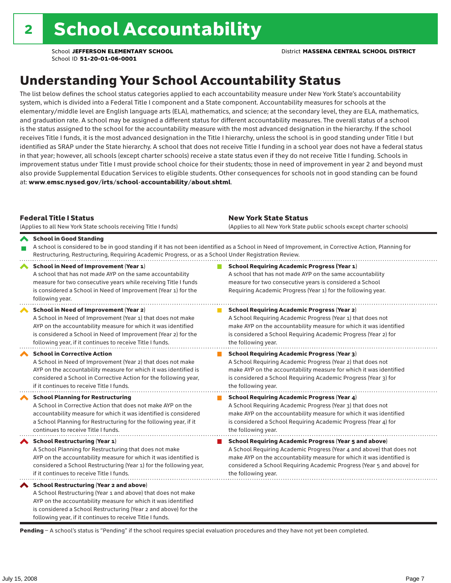### Understanding Your School Accountability Status

The list below defines the school status categories applied to each accountability measure under New York State's accountability system, which is divided into a Federal Title I component and a State component. Accountability measures for schools at the elementary/middle level are English language arts (ELA), mathematics, and science; at the secondary level, they are ELA, mathematics, and graduation rate. A school may be assigned a different status for different accountability measures. The overall status of a school is the status assigned to the school for the accountability measure with the most advanced designation in the hierarchy. If the school receives Title I funds, it is the most advanced designation in the Title I hierarchy, unless the school is in good standing under Title I but identified as SRAP under the State hierarchy. A school that does not receive Title I funding in a school year does not have a federal status in that year; however, all schools (except charter schools) receive a state status even if they do not receive Title I funding. Schools in improvement status under Title I must provide school choice for their students; those in need of improvement in year 2 and beyond must also provide Supplemental Education Services to eligible students. Other consequences for schools not in good standing can be found at: www.emsc.nysed.gov/irts/school-accountability/about.shtml.

| <b>Federal Title I Status</b><br>(Applies to all New York State schools receiving Title I funds)                                                                                                                                                                                                                | <b>New York State Status</b><br>(Applies to all New York State public schools except charter schools)                                                                                                                                                                                                           |
|-----------------------------------------------------------------------------------------------------------------------------------------------------------------------------------------------------------------------------------------------------------------------------------------------------------------|-----------------------------------------------------------------------------------------------------------------------------------------------------------------------------------------------------------------------------------------------------------------------------------------------------------------|
| School in Good Standing<br>Restructuring, Restructuring, Requiring Academic Progress, or as a School Under Registration Review.                                                                                                                                                                                 | A school is considered to be in good standing if it has not been identified as a School in Need of Improvement, in Corrective Action, Planning for                                                                                                                                                              |
| School in Need of Improvement (Year 1)<br>A school that has not made AYP on the same accountability<br>measure for two consecutive years while receiving Title I funds<br>is considered a School in Need of Improvement (Year 1) for the<br>following year.                                                     | <b>School Requiring Academic Progress (Year 1)</b><br>A school that has not made AYP on the same accountability<br>measure for two consecutive years is considered a School<br>Requiring Academic Progress (Year 1) for the following year.                                                                     |
| <b>School in Need of Improvement (Year 2)</b><br>A School in Need of Improvement (Year 1) that does not make<br>AYP on the accountability measure for which it was identified<br>is considered a School in Need of Improvement (Year 2) for the<br>following year, if it continues to receive Title I funds.    | <b>School Requiring Academic Progress (Year 2)</b><br>A School Requiring Academic Progress (Year 1) that does not<br>make AYP on the accountability measure for which it was identified<br>is considered a School Requiring Academic Progress (Year 2) for<br>the following year.                               |
| <b>School in Corrective Action</b><br>A School in Need of Improvement (Year 2) that does not make<br>AYP on the accountability measure for which it was identified is<br>considered a School in Corrective Action for the following year,<br>if it continues to receive Title I funds.                          | <b>School Requiring Academic Progress (Year 3)</b><br>A School Requiring Academic Progress (Year 2) that does not<br>make AYP on the accountability measure for which it was identified<br>is considered a School Requiring Academic Progress (Year 3) for<br>the following year.                               |
| <b>School Planning for Restructuring</b><br>A School in Corrective Action that does not make AYP on the<br>accountability measure for which it was identified is considered<br>a School Planning for Restructuring for the following year, if it<br>continues to receive Title I funds.                         | <b>School Requiring Academic Progress (Year 4)</b><br>A School Requiring Academic Progress (Year 3) that does not<br>make AYP on the accountability measure for which it was identified<br>is considered a School Requiring Academic Progress (Year 4) for<br>the following year.                               |
| School Restructuring (Year 1)<br>A School Planning for Restructuring that does not make<br>AYP on the accountability measure for which it was identified is<br>considered a School Restructuring (Year 1) for the following year,<br>if it continues to receive Title I funds.                                  | <b>School Requiring Academic Progress (Year 5 and above)</b><br>A School Requiring Academic Progress (Year 4 and above) that does not<br>make AYP on the accountability measure for which it was identified is<br>considered a School Requiring Academic Progress (Year 5 and above) for<br>the following year. |
| <b>School Restructuring (Year 2 and above)</b><br>A School Restructuring (Year 1 and above) that does not make<br>AYP on the accountability measure for which it was identified<br>is considered a School Restructuring (Year 2 and above) for the<br>following year, if it continues to receive Title I funds. |                                                                                                                                                                                                                                                                                                                 |

Pending - A school's status is "Pending" if the school requires special evaluation procedures and they have not yet been completed.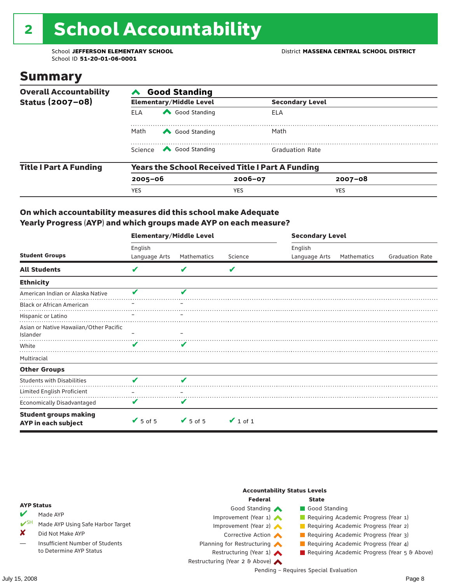# 2 School Accountability

School ID **51-20-01-06-0001**

### Summary

| <b>Overall Accountability</b> | <b>Good Standing</b>                                    |                                                                                                                                                                                                                                                                                                                                                 |                        |                        |  |  |  |
|-------------------------------|---------------------------------------------------------|-------------------------------------------------------------------------------------------------------------------------------------------------------------------------------------------------------------------------------------------------------------------------------------------------------------------------------------------------|------------------------|------------------------|--|--|--|
| Status (2007-08)              |                                                         | <b>Elementary/Middle Level</b>                                                                                                                                                                                                                                                                                                                  |                        | <b>Secondary Level</b> |  |  |  |
|                               | <b>ELA</b>                                              | Good Standing                                                                                                                                                                                                                                                                                                                                   | ELA                    |                        |  |  |  |
|                               | Math<br>Good Standing                                   |                                                                                                                                                                                                                                                                                                                                                 | Math                   |                        |  |  |  |
|                               |                                                         | Science <a> Science</a> Science Science Science <a> Science <a> Science <a> Science <a> Science <a> Science <a> Science <a> Science <a> Science <a> Science <a> Science <a<br></a<br> Science <a> Science <a> Science <a<br <="" th=""><th><b>Graduation Rate</b></th><th></th><th></th></a<br></a></a></a></a></a></a></a></a></a></a></a></a> | <b>Graduation Rate</b> |                        |  |  |  |
| <b>Title I Part A Funding</b> | <b>Years the School Received Title I Part A Funding</b> |                                                                                                                                                                                                                                                                                                                                                 |                        |                        |  |  |  |
|                               | $2005 - 06$                                             |                                                                                                                                                                                                                                                                                                                                                 | $2006 - 07$            | $2007 - 08$            |  |  |  |
|                               | <b>YES</b>                                              |                                                                                                                                                                                                                                                                                                                                                 | <b>YES</b>             | <b>YES</b>             |  |  |  |

#### On which accountability measures did this school make Adequate Yearly Progress (AYP) and which groups made AYP on each measure?

|                                                     | <b>Elementary/Middle Level</b> |                              |               | <b>Secondary Level</b> |             |                        |  |  |
|-----------------------------------------------------|--------------------------------|------------------------------|---------------|------------------------|-------------|------------------------|--|--|
|                                                     | English                        |                              |               | English                |             |                        |  |  |
| <b>Student Groups</b>                               | Language Arts                  | Mathematics                  | Science       | Language Arts          | Mathematics | <b>Graduation Rate</b> |  |  |
| <b>All Students</b>                                 | V                              |                              | V             |                        |             |                        |  |  |
| <b>Ethnicity</b>                                    |                                |                              |               |                        |             |                        |  |  |
| American Indian or Alaska Native                    | v                              | v                            |               |                        |             |                        |  |  |
| <b>Black or African American</b>                    |                                |                              |               |                        |             |                        |  |  |
| Hispanic or Latino                                  |                                |                              |               |                        |             |                        |  |  |
| Asian or Native Hawaiian/Other Pacific<br>Islander  |                                |                              |               |                        |             |                        |  |  |
| White                                               | ✔                              | v                            |               |                        |             |                        |  |  |
| Multiracial                                         |                                |                              |               |                        |             |                        |  |  |
| <b>Other Groups</b>                                 |                                |                              |               |                        |             |                        |  |  |
| <b>Students with Disabilities</b>                   | V                              | V                            |               |                        |             |                        |  |  |
| Limited English Proficient                          |                                |                              |               |                        |             |                        |  |  |
| <b>Economically Disadvantaged</b>                   | V                              | v                            |               |                        |             |                        |  |  |
| <b>Student groups making</b><br>AYP in each subject | $\sqrt{5}$ of 5                | $\blacktriangleright$ 5 of 5 | $\vee$ 1 of 1 |                        |             |                        |  |  |

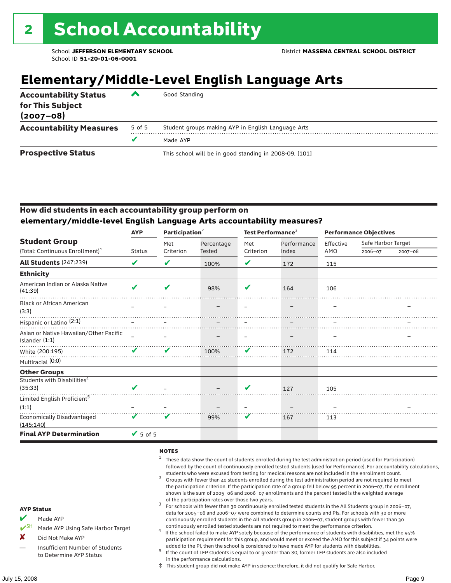## **Elementary/Middle-Level English Language Arts**

| <b>Accountability Status</b><br>for This Subject<br>$(2007 - 08)$ | ▰      | Good Standing                                          |
|-------------------------------------------------------------------|--------|--------------------------------------------------------|
| <b>Accountability Measures</b>                                    | 5 of 5 | Student groups making AYP in English Language Arts     |
|                                                                   |        | Made AYP                                               |
| <b>Prospective Status</b>                                         |        | This school will be in good standing in 2008-09. [101] |

#### How did students in each accountability group perform on **elementary/middle-level English Language Arts accountability measures?**

|                                                          | <b>AYP</b>                 | Participation <sup>2</sup> |            | Test Performance <sup>3</sup> |             | <b>Performance Objectives</b> |                    |         |
|----------------------------------------------------------|----------------------------|----------------------------|------------|-------------------------------|-------------|-------------------------------|--------------------|---------|
| <b>Student Group</b>                                     |                            | Met                        | Percentage | Met                           | Performance | Effective                     | Safe Harbor Target |         |
| (Total: Continuous Enrollment) <sup>1</sup>              | <b>Status</b>              | Criterion                  | Tested     | Criterion                     | Index       | AMO                           | 2006-07            | 2007-08 |
| <b>All Students (247:239)</b>                            | $\boldsymbol{\mathcal{U}}$ | V                          | 100%       | V                             | 172         | 115                           |                    |         |
| <b>Ethnicity</b>                                         |                            |                            |            |                               |             |                               |                    |         |
| American Indian or Alaska Native<br>(41:39)              | $\boldsymbol{\mathcal{L}}$ | ✔                          | 98%        | V                             | 164         | 106                           |                    |         |
| <b>Black or African American</b><br>(3:3)                |                            |                            |            |                               |             |                               |                    |         |
| Hispanic or Latino <sup>(2:1)</sup>                      |                            |                            |            |                               |             |                               |                    |         |
| Asian or Native Hawaiian/Other Pacific<br>Islander (1:1) |                            |                            |            |                               |             |                               |                    |         |
| White (200:195)                                          | $\boldsymbol{\mathcal{U}}$ | ✔                          | 100%       | V                             | 172         | 114                           |                    |         |
| Multiracial (0:0)                                        |                            |                            |            |                               |             |                               |                    |         |
| <b>Other Groups</b>                                      |                            |                            |            |                               |             |                               |                    |         |
| Students with Disabilities <sup>4</sup><br>(35:33)       | $\overline{\mathbf{v}}$    |                            |            | $\overline{\mathbf{v}}$       | 127         | 105                           |                    |         |
| Limited English Proficient <sup>5</sup>                  |                            |                            |            |                               |             |                               |                    |         |
| (1:1)                                                    |                            |                            |            |                               |             |                               |                    |         |
| <b>Economically Disadvantaged</b><br>(145:140)           | V                          | $\boldsymbol{\mathcal{U}}$ | 99%        | V                             | 167         | 113                           |                    |         |
| <b>Final AYP Determination</b>                           | $\sqrt{5}$ of 5            |                            |            |                               |             |                               |                    |         |

#### **NOTES**

- <sup>1</sup> These data show the count of students enrolled during the test administration period (used for Participation) followed by the count of continuously enrolled tested students (used for Performance). For accountability calculations,
- students who were excused from testing for medical reasons are not included in the enrollment count. <sup>2</sup> Groups with fewer than 40 students enrolled during the test administration period are not required to meet the participation criterion. If the participation rate of a group fell below 95 percent in 2006–07, the enrollment shown is the sum of 2005–06 and 2006–07 enrollments and the percent tested is the weighted average
- of the participation rates over those two years.<br><sup>3</sup> For schools with fewer than 30 continuously enrolled tested students in the All Students group in 2006–07, data for 2005–06 and 2006–07 were combined to determine counts and PIs. For schools with 30 or more continuously enrolled students in the All Students group in 2006–07, student groups with fewer than 30
- continuously enrolled tested students are not required to meet the performance criterion. <sup>4</sup> If the school failed to make AYP solely because of the performance of students with disabilities, met the 95% participation requirement for this group, and would meet or exceed the AMO for this subject if 34 points were added to the PI, then the school is considered to have made AYP for students with disabilities.
- $5$  If the count of LEP students is equal to or greater than 30, former LEP students are also included in the performance calculations.
- ‡ This student group did not make AYP in science; therefore, it did not qualify for Safe Harbor.
- Made AYP
	- Made AYP Using Safe Harbor Target
- X Did Not Make AYP
- Insufficient Number of Students to Determine AYP Status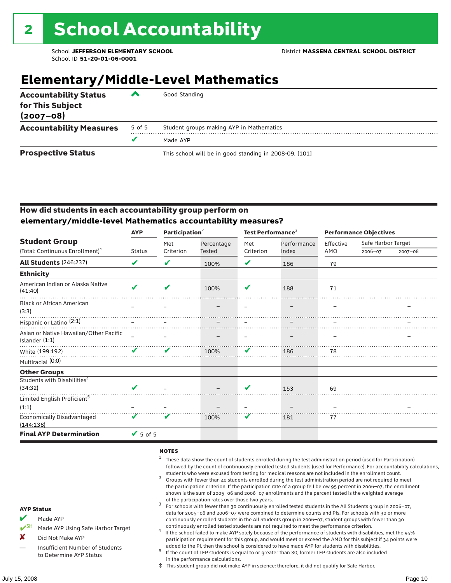## **Elementary/Middle-Level Mathematics**

| <b>Accountability Status</b><br>for This Subject<br>$(2007 - 08)$ | ▰      | Good Standing                                          |  |  |  |  |
|-------------------------------------------------------------------|--------|--------------------------------------------------------|--|--|--|--|
| <b>Accountability Measures</b>                                    | 5 of 5 | Student groups making AYP in Mathematics               |  |  |  |  |
|                                                                   |        | Made AYP                                               |  |  |  |  |
| <b>Prospective Status</b>                                         |        | This school will be in good standing in 2008-09. [101] |  |  |  |  |

#### How did students in each accountability group perform on **elementary/middle-level Mathematics accountability measures?**

|                                                                     | <b>AYP</b>                   | Participation <sup>2</sup> |                      | Test Performance $^3$ |                      | <b>Performance Objectives</b> |                               |             |
|---------------------------------------------------------------------|------------------------------|----------------------------|----------------------|-----------------------|----------------------|-------------------------------|-------------------------------|-------------|
| <b>Student Group</b><br>(Total: Continuous Enrollment) <sup>1</sup> | <b>Status</b>                | Met<br>Criterion           | Percentage<br>Tested | Met<br>Criterion      | Performance<br>Index | Effective<br>AMO              | Safe Harbor Target<br>2006-07 | $2007 - 08$ |
|                                                                     |                              |                            |                      |                       |                      |                               |                               |             |
| <b>All Students (246:237)</b>                                       | V                            | V                          | 100%                 | V                     | 186                  | 79                            |                               |             |
| <b>Ethnicity</b>                                                    |                              |                            |                      |                       |                      |                               |                               |             |
| American Indian or Alaska Native<br>(41:40)                         | $\boldsymbol{\mathcal{L}}$   | ✔                          | 100%                 | ✔                     | 188                  | 71                            |                               |             |
| <b>Black or African American</b><br>(3:3)                           |                              |                            |                      |                       |                      |                               |                               |             |
| Hispanic or Latino <sup>(2:1)</sup>                                 |                              |                            |                      |                       |                      |                               |                               |             |
| Asian or Native Hawaiian/Other Pacific<br>Islander $(1:1)$          |                              |                            |                      |                       |                      |                               |                               |             |
| White (199:192)                                                     | $\boldsymbol{\mathcal{U}}$   | V                          | 100%                 | V                     | 186                  | 78                            |                               |             |
| Multiracial (0:0)                                                   |                              |                            |                      |                       |                      |                               |                               |             |
| <b>Other Groups</b>                                                 |                              |                            |                      |                       |                      |                               |                               |             |
| Students with Disabilities <sup>4</sup><br>(34:32)                  | $\boldsymbol{\mathcal{L}}$   |                            |                      | V                     | 153                  | 69                            |                               |             |
| Limited English Proficient <sup>5</sup>                             |                              |                            |                      |                       |                      |                               |                               |             |
| (1:1)                                                               |                              |                            |                      |                       |                      |                               |                               |             |
| <b>Economically Disadvantaged</b><br>(144:138)                      | V                            | V                          | 100%                 | V                     | 181                  | 77                            |                               |             |
| <b>Final AYP Determination</b>                                      | $\blacktriangleright$ 5 of 5 |                            |                      |                       |                      |                               |                               |             |

#### **NOTES**

- <sup>1</sup> These data show the count of students enrolled during the test administration period (used for Participation) followed by the count of continuously enrolled tested students (used for Performance). For accountability calculations,
- students who were excused from testing for medical reasons are not included in the enrollment count.<br><sup>2</sup> Groups with fewer than 40 students enrolled during the test administration period are not required to meet the participation criterion. If the participation rate of a group fell below 95 percent in 2006–07, the enrollment shown is the sum of 2005–06 and 2006–07 enrollments and the percent tested is the weighted average
- of the participation rates over those two years.<br><sup>3</sup> For schools with fewer than 30 continuously enrolled tested students in the All Students group in 2006–07, data for 2005–06 and 2006–07 were combined to determine counts and PIs. For schools with 30 or more continuously enrolled students in the All Students group in 2006–07, student groups with fewer than 30
- continuously enrolled tested students are not required to meet the performance criterion. <sup>4</sup> If the school failed to make AYP solely because of the performance of students with disabilities, met the 95% participation requirement for this group, and would meet or exceed the AMO for this subject if 34 points were added to the PI, then the school is considered to have made AYP for students with disabilities.
- $5$  If the count of LEP students is equal to or greater than 30, former LEP students are also included in the performance calculations.
- ‡ This student group did not make AYP in science; therefore, it did not qualify for Safe Harbor.
- Made AYP
	- Made AYP Using Safe Harbor Target
- X Did Not Make AYP
- Insufficient Number of Students to Determine AYP Status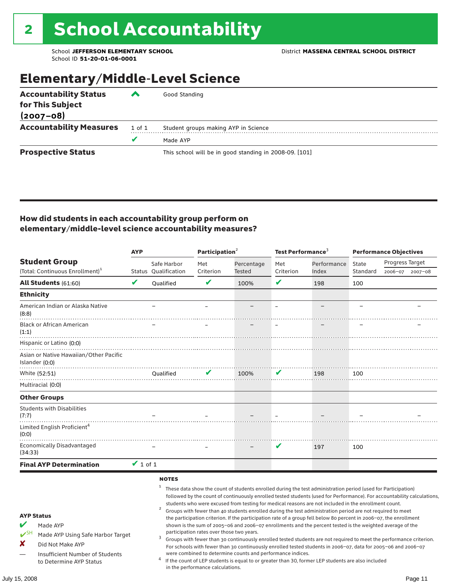### Elementary/Middle-Level Science

| <b>Accountability Status</b>   | ▰      | Good Standing                                          |
|--------------------------------|--------|--------------------------------------------------------|
| for This Subject               |        |                                                        |
| $(2007 - 08)$                  |        |                                                        |
| <b>Accountability Measures</b> | 1 of 1 | Student groups making AYP in Science                   |
|                                |        | Made AYP                                               |
| <b>Prospective Status</b>      |        | This school will be in good standing in 2008-09. [101] |

#### How did students in each accountability group perform on elementary/middle-level science accountability measures?

|                                                                                                                                                                            |               |                                          | Participation <sup>2</sup>                                                    |                                                            | Test Performance <sup>3</sup> |                                                                                                                                                                                                                                                                                                                                                                                                                                                                                                                                                                                                                                                                                                                                                                                                                                                                                                                                                                                                                                                 | <b>Performance Objectives</b> |                 |                 |
|----------------------------------------------------------------------------------------------------------------------------------------------------------------------------|---------------|------------------------------------------|-------------------------------------------------------------------------------|------------------------------------------------------------|-------------------------------|-------------------------------------------------------------------------------------------------------------------------------------------------------------------------------------------------------------------------------------------------------------------------------------------------------------------------------------------------------------------------------------------------------------------------------------------------------------------------------------------------------------------------------------------------------------------------------------------------------------------------------------------------------------------------------------------------------------------------------------------------------------------------------------------------------------------------------------------------------------------------------------------------------------------------------------------------------------------------------------------------------------------------------------------------|-------------------------------|-----------------|-----------------|
| <b>Student Group</b>                                                                                                                                                       |               | Safe Harbor                              | Met                                                                           | Percentage                                                 | Met                           | Performance                                                                                                                                                                                                                                                                                                                                                                                                                                                                                                                                                                                                                                                                                                                                                                                                                                                                                                                                                                                                                                     | State                         | Progress Target |                 |
| (Total: Continuous Enrollment) <sup>1</sup>                                                                                                                                |               | Status Qualification                     | Criterion                                                                     | Tested                                                     | Criterion                     | Index                                                                                                                                                                                                                                                                                                                                                                                                                                                                                                                                                                                                                                                                                                                                                                                                                                                                                                                                                                                                                                           | Standard                      |                 | 2006-07 2007-08 |
| <b>All Students (61:60)</b>                                                                                                                                                | V             | <b>Oualified</b>                         | $\mathbf v$                                                                   | 100%                                                       | V                             | 198                                                                                                                                                                                                                                                                                                                                                                                                                                                                                                                                                                                                                                                                                                                                                                                                                                                                                                                                                                                                                                             | 100                           |                 |                 |
| <b>Ethnicity</b>                                                                                                                                                           |               |                                          |                                                                               |                                                            |                               |                                                                                                                                                                                                                                                                                                                                                                                                                                                                                                                                                                                                                                                                                                                                                                                                                                                                                                                                                                                                                                                 |                               |                 |                 |
| American Indian or Alaska Native<br>(8:8)                                                                                                                                  |               |                                          |                                                                               |                                                            |                               |                                                                                                                                                                                                                                                                                                                                                                                                                                                                                                                                                                                                                                                                                                                                                                                                                                                                                                                                                                                                                                                 |                               |                 |                 |
| <b>Black or African American</b><br>(1:1)                                                                                                                                  |               |                                          |                                                                               |                                                            |                               |                                                                                                                                                                                                                                                                                                                                                                                                                                                                                                                                                                                                                                                                                                                                                                                                                                                                                                                                                                                                                                                 |                               |                 |                 |
| Hispanic or Latino (0:0)                                                                                                                                                   |               |                                          |                                                                               |                                                            |                               |                                                                                                                                                                                                                                                                                                                                                                                                                                                                                                                                                                                                                                                                                                                                                                                                                                                                                                                                                                                                                                                 |                               |                 |                 |
| Asian or Native Hawaiian/Other Pacific<br>Islander (0:0)                                                                                                                   |               |                                          |                                                                               |                                                            |                               |                                                                                                                                                                                                                                                                                                                                                                                                                                                                                                                                                                                                                                                                                                                                                                                                                                                                                                                                                                                                                                                 |                               |                 |                 |
| White (52:51)                                                                                                                                                              |               | Qualified                                | V                                                                             | 100%                                                       | V                             | 198                                                                                                                                                                                                                                                                                                                                                                                                                                                                                                                                                                                                                                                                                                                                                                                                                                                                                                                                                                                                                                             | 100                           |                 |                 |
| Multiracial (0:0)                                                                                                                                                          |               |                                          |                                                                               |                                                            |                               |                                                                                                                                                                                                                                                                                                                                                                                                                                                                                                                                                                                                                                                                                                                                                                                                                                                                                                                                                                                                                                                 |                               |                 |                 |
| <b>Other Groups</b>                                                                                                                                                        |               |                                          |                                                                               |                                                            |                               |                                                                                                                                                                                                                                                                                                                                                                                                                                                                                                                                                                                                                                                                                                                                                                                                                                                                                                                                                                                                                                                 |                               |                 |                 |
| <b>Students with Disabilities</b><br>(7:7)                                                                                                                                 |               |                                          |                                                                               |                                                            |                               |                                                                                                                                                                                                                                                                                                                                                                                                                                                                                                                                                                                                                                                                                                                                                                                                                                                                                                                                                                                                                                                 |                               |                 |                 |
| Limited English Proficient <sup>4</sup><br>(0:0)                                                                                                                           |               |                                          |                                                                               |                                                            |                               |                                                                                                                                                                                                                                                                                                                                                                                                                                                                                                                                                                                                                                                                                                                                                                                                                                                                                                                                                                                                                                                 |                               |                 |                 |
| <b>Economically Disadvantaged</b><br>(34:33)                                                                                                                               |               |                                          |                                                                               |                                                            | V                             | 197                                                                                                                                                                                                                                                                                                                                                                                                                                                                                                                                                                                                                                                                                                                                                                                                                                                                                                                                                                                                                                             | 100                           |                 |                 |
| <b>Final AYP Determination</b>                                                                                                                                             | $\vee$ 1 of 1 |                                          |                                                                               |                                                            |                               |                                                                                                                                                                                                                                                                                                                                                                                                                                                                                                                                                                                                                                                                                                                                                                                                                                                                                                                                                                                                                                                 |                               |                 |                 |
| <b>AYP Status</b><br>V<br>Made AYP<br>$V^{SH}$<br>Made AYP Using Safe Harbor Target<br>X<br>Did Not Make AYP<br>Insufficient Number of Students<br>to Determine AYP Status |               | <b>NOTES</b><br>1<br>$\overline{a}$<br>3 | participation rates over those two years.<br>in the performance calculations. | were combined to determine counts and performance indices. |                               | These data show the count of students enrolled during the test administration period (used for Participation)<br>followed by the count of continuously enrolled tested students (used for Performance). For accountability calculations,<br>students who were excused from testing for medical reasons are not included in the enrollment count.<br>Groups with fewer than 40 students enrolled during the test administration period are not required to meet<br>the participation criterion. If the participation rate of a group fell below 80 percent in 2006-07, the enrollment<br>shown is the sum of 2005-06 and 2006-07 enrollments and the percent tested is the weighted average of the<br>Groups with fewer than 30 continuously enrolled tested students are not required to meet the performance criterion.<br>For schools with fewer than 30 continuously enrolled tested students in 2006-07, data for 2005-06 and 2006-07<br>If the count of LEP students is equal to or greater than 30, former LEP students are also included |                               |                 |                 |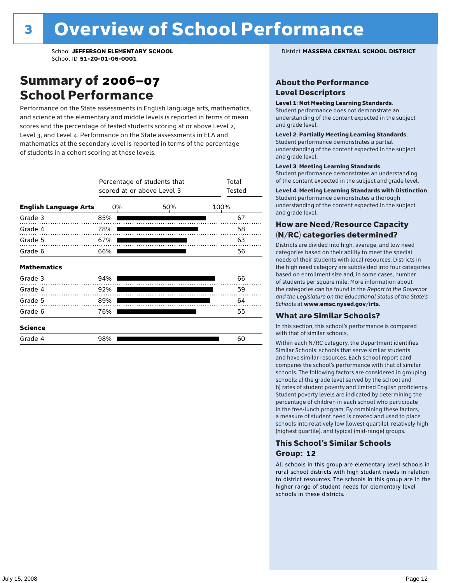### Summary of 2006–07 School Performance

Performance on the State assessments in English language arts, mathematics, and science at the elementary and middle levels is reported in terms of mean scores and the percentage of tested students scoring at or above Level 2, Level 3, and Level 4. Performance on the State assessments in ELA and mathematics at the secondary level is reported in terms of the percentage of students in a cohort scoring at these levels.

|                              | Percentage of students that<br>scored at or above Level 3 | Total<br>Tested                     |    |
|------------------------------|-----------------------------------------------------------|-------------------------------------|----|
| <b>English Language Arts</b> | 0%                                                        | 100%                                |    |
| Grade 3                      | 85%                                                       |                                     | 67 |
| Grade 4<br>.                 | 78%                                                       |                                     | 58 |
| Grade 5                      | 67%                                                       | and the contract of the contract of | 63 |
| Grade 6                      | 66%                                                       |                                     | 56 |
| <b>Mathematics</b>           |                                                           |                                     |    |
| Grade 3                      | 94%                                                       |                                     | 66 |
| Grade 4                      | 92%                                                       |                                     | 59 |
| Grade 5                      | 89%                                                       |                                     | 64 |
| Grade 6                      | 76%                                                       |                                     | 55 |
| <b>Science</b>               |                                                           |                                     |    |
| Grade 4                      | 98%                                                       |                                     | 60 |

School **JEFFERSON ELEMENTARY SCHOOL** District **MASSENA CENTRAL SCHOOL DISTRICT**

#### About the Performance Level Descriptors

#### Level 1: Not Meeting Learning Standards.

Student performance does not demonstrate an understanding of the content expected in the subject and grade level.

#### Level 2: Partially Meeting Learning Standards.

Student performance demonstrates a partial understanding of the content expected in the subject and grade level.

#### Level 3: Meeting Learning Standards.

Student performance demonstrates an understanding of the content expected in the subject and grade level.

#### Level 4: Meeting Learning Standards with Distinction.

Student performance demonstrates a thorough understanding of the content expected in the subject and grade level.

#### How are Need/Resource Capacity (N/RC) categories determined?

Districts are divided into high, average, and low need categories based on their ability to meet the special needs of their students with local resources. Districts in the high need category are subdivided into four categories based on enrollment size and, in some cases, number of students per square mile. More information about the categories can be found in the *Report to the Governor and the Legislature on the Educational Status of the State's Schools* at www.emsc.nysed.gov/irts.

#### What are Similar Schools?

In this section, this school's performance is compared with that of similar schools.

Within each N/RC category, the Department identifies Similar Schools: schools that serve similar students and have similar resources. Each school report card compares the school's performance with that of similar schools. The following factors are considered in grouping schools: a) the grade level served by the school and b) rates of student poverty and limited English proficiency. Student poverty levels are indicated by determining the percentage of children in each school who participate in the free-lunch program. By combining these factors, a measure of student need is created and used to place schools into relatively low (lowest quartile), relatively high (highest quartile), and typical (mid-range) groups.

#### This School's Similar Schools Group: **12**

All schools in this group are elementary level schools in rural school districts with high student needs in relation to district resources. The schools in this group are in the higher range of student needs for elementary level schools in these districts.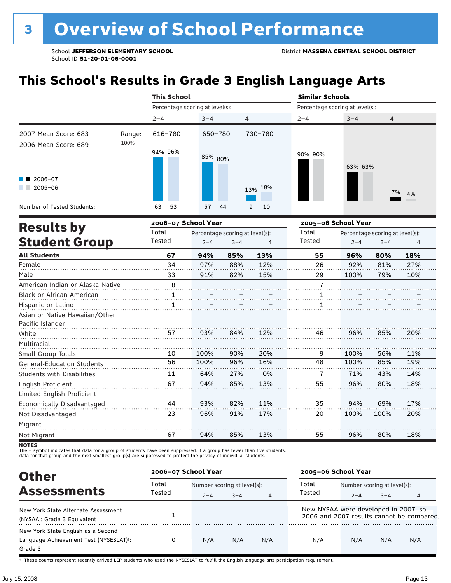## **This School's Results in Grade 3 English Language Arts**

|                                                           |        | <b>This School</b>              |          |         | <b>Similar Schools</b><br>Percentage scoring at level(s): |         |                |  |
|-----------------------------------------------------------|--------|---------------------------------|----------|---------|-----------------------------------------------------------|---------|----------------|--|
|                                                           |        | Percentage scoring at level(s): |          |         |                                                           |         |                |  |
|                                                           |        | $2 - 4$                         | $3 - 4$  | 4       | $2 - 4$                                                   | $3 - 4$ | $\overline{4}$ |  |
| 2007 Mean Score: 683                                      | Range: | 616-780                         | 650-780  | 730-780 |                                                           |         |                |  |
| 2006 Mean Score: 689<br>$\blacksquare$ 2006-07<br>2005-06 | 100%   | 94% 96%                         | 85% 80%  | 13% 18% | 90% 90%                                                   | 63% 63% |                |  |
|                                                           |        |                                 |          |         |                                                           |         | 7% 4%          |  |
| Number of Tested Students:                                |        | 53<br>63                        | 57<br>44 | 9<br>10 |                                                           |         |                |  |

|                                                    |        | 2006-07 School Year |                                 |     | 2005-06 School Year |         |                                 |     |
|----------------------------------------------------|--------|---------------------|---------------------------------|-----|---------------------|---------|---------------------------------|-----|
| <b>Results by</b>                                  | Total  |                     | Percentage scoring at level(s): |     | Total               |         | Percentage scoring at level(s): |     |
| <b>Student Group</b>                               | Tested | $2 - 4$             | $3 - 4$                         | 4   | Tested              | $2 - 4$ | $3 - 4$                         | 4   |
| <b>All Students</b>                                | 67     | 94%                 | 85%                             | 13% | 55                  | 96%     | 80%                             | 18% |
| Female                                             | 34     | 97%                 | 88%                             | 12% | 26                  | 92%     | 81%                             | 27% |
| Male                                               | 33     | 91%                 | 82%                             | 15% | 29                  | 100%    | 79%                             | 10% |
| American Indian or Alaska Native                   | 8      |                     |                                 |     | $\overline{7}$      |         |                                 |     |
| <b>Black or African American</b>                   | 1.     |                     |                                 |     |                     |         |                                 |     |
| Hispanic or Latino                                 | 1      |                     |                                 |     | 1                   |         |                                 |     |
| Asian or Native Hawaiian/Other<br>Pacific Islander |        |                     |                                 |     |                     |         |                                 |     |
| White                                              | 57     | 93%                 | 84%                             | 12% | 46                  | 96%     | 85%                             | 20% |
| Multiracial                                        |        |                     |                                 |     |                     |         |                                 |     |
| Small Group Totals                                 | 10     | 100%                | 90%                             | 20% | 9                   | 100%    | 56%                             | 11% |
| <b>General-Education Students</b>                  | 56     | 100%                | 96%                             | 16% | 48                  | 100%    | 85%                             | 19% |
| <b>Students with Disabilities</b>                  | 11     | 64%                 | 27%                             | 0%  | 7                   | 71%     | 43%                             | 14% |
| English Proficient                                 | 67     | 94%                 | 85%                             | 13% | 55                  | 96%     | 80%                             | 18% |
| Limited English Proficient                         |        |                     |                                 |     |                     |         |                                 |     |
| Economically Disadvantaged                         | 44     | 93%                 | 82%                             | 11% | 35                  | 94%     | 69%                             | 17% |
| Not Disadvantaged                                  | 23     | 96%                 | 91%                             | 17% | 20                  | 100%    | 100%                            | 20% |
| Migrant                                            |        |                     |                                 |     |                     |         |                                 |     |
| Not Migrant                                        | 67     | 94%                 | 85%                             | 13% | 55                  | 96%     | 80%                             | 18% |
|                                                    |        |                     |                                 |     |                     |         |                                 |     |

NOTES<br>The – symbol indicates that data for a group of students have been suppressed. If a group has fewer than five students,<br>data for that group and the next smallest group(s) are suppressed to protect the privacy of indi

| <b>Other</b>                                                                                         |        | 2006-07 School Year |                             |                |                                      | 2005-06 School Year         |         |                                           |  |
|------------------------------------------------------------------------------------------------------|--------|---------------------|-----------------------------|----------------|--------------------------------------|-----------------------------|---------|-------------------------------------------|--|
|                                                                                                      | Total  |                     | Number scoring at level(s): |                |                                      | Number scoring at level(s): |         |                                           |  |
| <b>Assessments</b>                                                                                   | Tested | $2 - 4$             | $3 - 4$                     | $\overline{4}$ | Tested                               | $2 - 4$                     | $3 - 4$ | 4                                         |  |
| New York State Alternate Assessment<br>(NYSAA): Grade 3 Equivalent                                   |        |                     |                             |                | New NYSAA were developed in 2007, so |                             |         | 2006 and 2007 results cannot be compared. |  |
| New York State English as a Second<br>Language Achievement Test (NYSESLAT) <sup>+</sup> :<br>Grade 3 | 0      | N/A                 | N/A                         | N/A            | N/A                                  | N/A                         | N/A     | N/A                                       |  |

† These counts represent recently arrived LEP students who used the NYSESLAT to fulfill the English language arts participation requirement.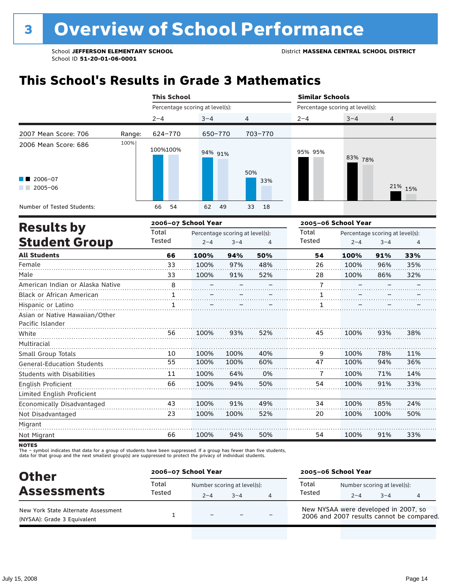## **This School's Results in Grade 3 Mathematics**

|                                                                        |        | <b>This School</b>              |          |            | <b>Similar Schools</b><br>Percentage scoring at level(s): |         |         |  |
|------------------------------------------------------------------------|--------|---------------------------------|----------|------------|-----------------------------------------------------------|---------|---------|--|
|                                                                        |        | Percentage scoring at level(s): |          |            |                                                           |         |         |  |
|                                                                        |        | $2 - 4$                         | $3 - 4$  | 4          | $2 - 4$                                                   | $3 - 4$ | 4       |  |
| 2007 Mean Score: 706                                                   | Range: | 624-770                         | 650-770  | 703-770    |                                                           |         |         |  |
| 2006 Mean Score: 686<br>$\blacksquare$ 2006-07<br>$2005 - 06$<br>r i T | 100%   | 100%100%                        | 94% 91%  | 50%<br>33% | 95% 95%                                                   | 83% 78% | 21% 15% |  |
| Number of Tested Students:                                             |        | 54<br>66                        | 62<br>49 | 33<br>18   |                                                           |         |         |  |

|                                                    |        | 2006-07 School Year |                                 |     | 2005-06 School Year |         |                                 |     |
|----------------------------------------------------|--------|---------------------|---------------------------------|-----|---------------------|---------|---------------------------------|-----|
| <b>Results by</b>                                  | Total  |                     | Percentage scoring at level(s): |     | Total               |         | Percentage scoring at level(s): |     |
| <b>Student Group</b>                               | Tested | $2 - 4$             | $3 - 4$                         | 4   | Tested              | $2 - 4$ | $3 - 4$                         | 4   |
| <b>All Students</b>                                | 66     | 100%                | 94%                             | 50% | 54                  | 100%    | 91%                             | 33% |
| Female                                             | 33     | 100%                | 97%                             | 48% | 26                  | 100%    | 96%                             | 35% |
| Male                                               | 33     | 100%                | 91%                             | 52% | 28                  | 100%    | 86%                             | 32% |
| American Indian or Alaska Native                   | 8      |                     |                                 |     | $\overline{1}$      |         |                                 |     |
| Black or African American                          | 1      |                     |                                 |     |                     |         |                                 |     |
| Hispanic or Latino                                 | 1      |                     |                                 |     |                     |         |                                 |     |
| Asian or Native Hawaiian/Other<br>Pacific Islander |        |                     |                                 |     |                     |         |                                 |     |
| White                                              | 56     | 100%                | 93%                             | 52% | 45                  | 100%    | 93%                             | 38% |
| Multiracial                                        |        |                     |                                 |     |                     |         |                                 |     |
| Small Group Totals                                 | 10     | 100%                | 100%                            | 40% | 9                   | 100%    | 78%                             | 11% |
| <b>General-Education Students</b>                  | 55     | 100%                | 100%                            | 60% | 47                  | 100%    | 94%                             | 36% |
| <b>Students with Disabilities</b>                  | 11     | 100%                | 64%                             | 0%  | 7                   | 100%    | 71%                             | 14% |
| English Proficient                                 | 66     | 100%                | 94%                             | 50% | 54                  | 100%    | 91%                             | 33% |
| Limited English Proficient                         |        |                     |                                 |     |                     |         |                                 |     |
| Economically Disadvantaged                         | 43     | 100%                | 91%                             | 49% | 34                  | 100%    | 85%                             | 24% |
| Not Disadvantaged                                  | 23     | 100%                | 100%                            | 52% | 20                  | 100%    | 100%                            | 50% |
| Migrant                                            |        |                     |                                 |     |                     |         |                                 |     |
| Not Migrant                                        | 66     | 100%                | 94%                             | 50% | 54                  | 100%    | 91%                             | 33% |

**NOTES** 

The – symbol indicates that data for a group of students have been suppressed. If a group has fewer than five students,<br>data for that group and the next smallest group(s) are suppressed to protect the privacy of individual

| <b>Other</b>                                                       | 2006-07 School Year |                                        |      |                | 2005-06 School Year                                                               |         |                                        |  |
|--------------------------------------------------------------------|---------------------|----------------------------------------|------|----------------|-----------------------------------------------------------------------------------|---------|----------------------------------------|--|
| <b>Assessments</b>                                                 | Total<br>Tested     | Number scoring at level(s):<br>$2 - 4$ | $-4$ | $\overline{4}$ | Total<br>Tested                                                                   | $2 - 4$ | Number scoring at level(s):<br>$3 - 4$ |  |
| New York State Alternate Assessment<br>(NYSAA): Grade 3 Equivalent |                     | $\overline{\phantom{m}}$               |      |                | New NYSAA were developed in 2007, so<br>2006 and 2007 results cannot be compared. |         |                                        |  |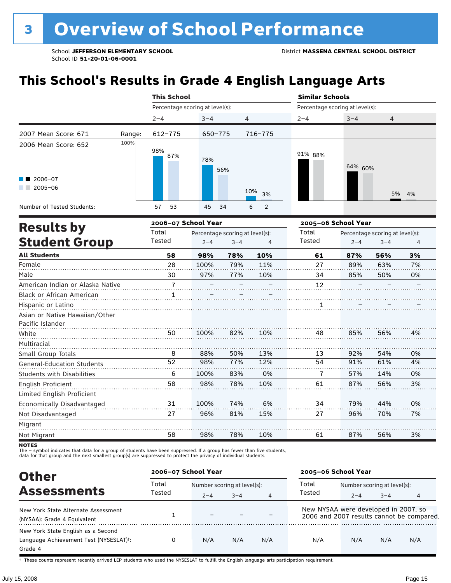## **This School's Results in Grade 4 English Language Arts**

|                                                           |        | <b>This School</b>              |            |                               | <b>Similar Schools</b><br>Percentage scoring at level(s): |         |                |  |
|-----------------------------------------------------------|--------|---------------------------------|------------|-------------------------------|-----------------------------------------------------------|---------|----------------|--|
|                                                           |        | Percentage scoring at level(s): |            |                               |                                                           |         |                |  |
|                                                           |        | $2 - 4$                         | $3 - 4$    | 4                             | $2 - 4$                                                   | $3 - 4$ | $\overline{4}$ |  |
| 2007 Mean Score: 671                                      | Range: | $612 - 775$                     | 650-775    | 716-775                       |                                                           |         |                |  |
| 2006 Mean Score: 652<br>$\blacksquare$ 2006-07<br>2005-06 | 100%   | 98%<br>87%                      | 78%<br>56% | 10%<br>3%                     | 91% 88%                                                   | 64% 60% | 5% 4%          |  |
| Number of Tested Students:                                |        | 53<br>57                        | 45<br>34   | $\overline{\phantom{0}}$<br>6 |                                                           |         |                |  |

|                                   |                | 2006-07 School Year |                                 |     | 2005-06 School Year |         |                                 |    |
|-----------------------------------|----------------|---------------------|---------------------------------|-----|---------------------|---------|---------------------------------|----|
| <b>Results by</b>                 | Total          |                     | Percentage scoring at level(s): |     | Total               |         | Percentage scoring at level(s): |    |
| <b>Student Group</b>              | Tested         | $2 - 4$             | $3 - 4$                         | 4   | Tested              | $2 - 4$ | $3 - 4$                         | 4  |
| <b>All Students</b>               | 58             | 98%                 | 78%                             | 10% | 61                  | 87%     | 56%                             | 3% |
| Female                            | 28             | 100%                | 79%                             | 11% | 27                  | 89%     | 63%                             | 7% |
| Male                              | 30             | 97%                 | 77%                             | 10% | 34                  | 85%     | 50%                             | 0% |
| American Indian or Alaska Native  | $\overline{1}$ |                     |                                 |     | 12                  |         |                                 |    |
| Black or African American         | 1              |                     |                                 |     |                     |         |                                 |    |
| Hispanic or Latino                |                |                     |                                 |     |                     |         |                                 |    |
| Asian or Native Hawaiian/Other    |                |                     |                                 |     |                     |         |                                 |    |
| Pacific Islander                  |                |                     |                                 |     |                     |         |                                 |    |
| White                             | 50             | 100%                | 82%                             | 10% | 48                  | 85%     | 56%                             | 4% |
| Multiracial                       |                |                     |                                 |     |                     |         |                                 |    |
| Small Group Totals                | 8              | 88%                 | 50%                             | 13% | 13                  | 92%     | 54%                             | 0% |
| <b>General-Education Students</b> | 52             | 98%                 | 77%                             | 12% | 54                  | 91%     | 61%                             | 4% |
| <b>Students with Disabilities</b> | 6              | 100%                | 83%                             | 0%  | 7                   | 57%     | 14%                             | 0% |
| English Proficient                | 58             | 98%                 | 78%                             | 10% | 61                  | 87%     | 56%                             | 3% |
| Limited English Proficient        |                |                     |                                 |     |                     |         |                                 |    |
| Economically Disadvantaged        | 31             | 100%                | 74%                             | 6%  | 34                  | 79%     | 44%                             | 0% |
| Not Disadvantaged                 | 27             | 96%                 | 81%                             | 15% | 27                  | 96%     | 70%                             | 7% |
| Migrant                           |                |                     |                                 |     |                     |         |                                 |    |
| Not Migrant                       | 58             | 98%                 | 78%                             | 10% | 61                  | 87%     | 56%                             | 3% |
|                                   |                |                     |                                 |     |                     |         |                                 |    |

NOTES<br>The – symbol indicates that data for a group of students have been suppressed. If a group has fewer than five students,<br>data for that group and the next smallest group(s) are suppressed to protect the privacy of indi

| <b>Other</b>                                                                                         | 2006-07 School Year |                          |                             |                | 2005-06 School Year                  |                             |         |                                           |
|------------------------------------------------------------------------------------------------------|---------------------|--------------------------|-----------------------------|----------------|--------------------------------------|-----------------------------|---------|-------------------------------------------|
|                                                                                                      | Total               |                          | Number scoring at level(s): |                |                                      | Number scoring at level(s): |         |                                           |
| <b>Assessments</b>                                                                                   | Tested              | $2 - 4$                  | $3 - 4$                     | $\overline{4}$ | Tested                               | $2 - 4$                     | $3 - 4$ |                                           |
| New York State Alternate Assessment<br>(NYSAA): Grade 4 Equivalent                                   |                     | $\overline{\phantom{0}}$ |                             |                | New NYSAA were developed in 2007, so |                             |         | 2006 and 2007 results cannot be compared. |
| New York State English as a Second<br>Language Achievement Test (NYSESLAT) <sup>+</sup> :<br>Grade 4 | 0                   | N/A                      | N/A                         | N/A            | N/A                                  | N/A                         | N/A     | N/A                                       |

† These counts represent recently arrived LEP students who used the NYSESLAT to fulfill the English language arts participation requirement.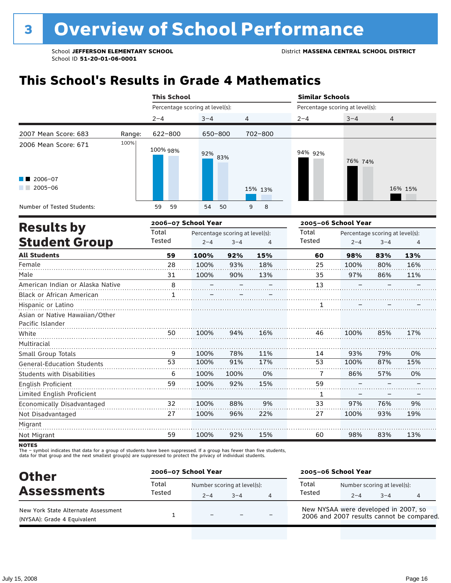## **This School's Results in Grade 4 Mathematics**

|                                   |        | <b>This School</b>              |            |                | <b>Similar Schools</b>          |         |         |  |  |
|-----------------------------------|--------|---------------------------------|------------|----------------|---------------------------------|---------|---------|--|--|
|                                   |        | Percentage scoring at level(s): |            |                | Percentage scoring at level(s): |         |         |  |  |
|                                   |        | $2 - 4$                         | $3 - 4$    | $\overline{4}$ | $2 - 4$                         | $3 - 4$ | 4       |  |  |
| 2007 Mean Score: 683              | Range: | 622-800                         | 650-800    | 702-800        |                                 |         |         |  |  |
| 2006 Mean Score: 671              | 100%   | 100% 98%                        | 92%<br>83% |                | 94% 92%                         | 76% 74% |         |  |  |
| $\blacksquare$ 2006-07<br>2005-06 |        |                                 |            | 15% 13%        |                                 |         | 16% 15% |  |  |
| Number of Tested Students:        |        | 59<br>59                        | 54<br>50   | 9<br>8         |                                 |         |         |  |  |

|                                   |        | 2006-07 School Year |                                 |     | 2005-06 School Year |         |                                 |     |
|-----------------------------------|--------|---------------------|---------------------------------|-----|---------------------|---------|---------------------------------|-----|
| <b>Results by</b>                 | Total  |                     | Percentage scoring at level(s): |     | Total               |         | Percentage scoring at level(s): |     |
| <b>Student Group</b>              | Tested | $2 - 4$             | $3 - 4$                         | 4   | Tested              | $2 - 4$ | $3 - 4$                         | 4   |
| <b>All Students</b>               | 59     | 100%                | 92%                             | 15% | 60                  | 98%     | 83%                             | 13% |
| Female                            | 28     | 100%                | 93%                             | 18% | 25                  | 100%    | 80%                             | 16% |
| Male                              | 31     | 100%                | 90%                             | 13% | 35                  | 97%     | 86%                             | 11% |
| American Indian or Alaska Native  | 8      |                     |                                 |     | 13                  |         |                                 |     |
| <b>Black or African American</b>  | 1      |                     |                                 |     |                     |         |                                 |     |
| Hispanic or Latino                |        |                     |                                 |     | 1                   |         |                                 |     |
| Asian or Native Hawaiian/Other    |        |                     |                                 |     |                     |         |                                 |     |
| Pacific Islander                  |        |                     |                                 |     |                     |         |                                 |     |
| White                             | 50     | 100%                | 94%                             | 16% | 46                  | 100%    | 85%                             | 17% |
| Multiracial                       |        |                     |                                 |     |                     |         |                                 |     |
| Small Group Totals                | 9      | 100%                | 78%                             | 11% | 14                  | 93%     | 79%                             | 0%  |
| <b>General-Education Students</b> | 53     | 100%                | 91%                             | 17% | 53                  | 100%    | 87%                             | 15% |
| <b>Students with Disabilities</b> | 6      | 100%                | 100%                            | 0%  | 7                   | 86%     | 57%                             | 0%  |
| English Proficient                | 59     | 100%                | 92%                             | 15% | 59                  |         |                                 |     |
| Limited English Proficient        |        |                     |                                 |     | 1                   |         |                                 |     |
| Economically Disadvantaged        | 32     | 100%                | 88%                             | 9%  | 33                  | 97%     | 76%                             | 9%  |
| Not Disadvantaged                 | 27     | 100%                | 96%                             | 22% | 27                  | 100%    | 93%                             | 19% |
| Migrant                           |        |                     |                                 |     |                     |         |                                 |     |
| Not Migrant                       | 59     | 100%                | 92%                             | 15% | 60                  | 98%     | 83%                             | 13% |
|                                   |        |                     |                                 |     |                     |         |                                 |     |

NOTES<br>The – symbol indicates that data for a group of students have been suppressed. If a group has fewer than five students,<br>data for that group and the next smallest group(s) are suppressed to protect the privacy of indi

| <b>Other</b>                                                       | 2006-07 School Year |                          |                                     |   | 2005-06 School Year                                                               |         |                                        |  |
|--------------------------------------------------------------------|---------------------|--------------------------|-------------------------------------|---|-----------------------------------------------------------------------------------|---------|----------------------------------------|--|
| <b>Assessments</b>                                                 | Total<br>Tested     | $2 - 4$                  | Number scoring at level(s):<br>$-4$ | 4 | Total<br>Tested                                                                   | $2 - 4$ | Number scoring at level(s):<br>$3 - 4$ |  |
| New York State Alternate Assessment<br>(NYSAA): Grade 4 Equivalent |                     | $\overline{\phantom{0}}$ |                                     |   | New NYSAA were developed in 2007, so<br>2006 and 2007 results cannot be compared. |         |                                        |  |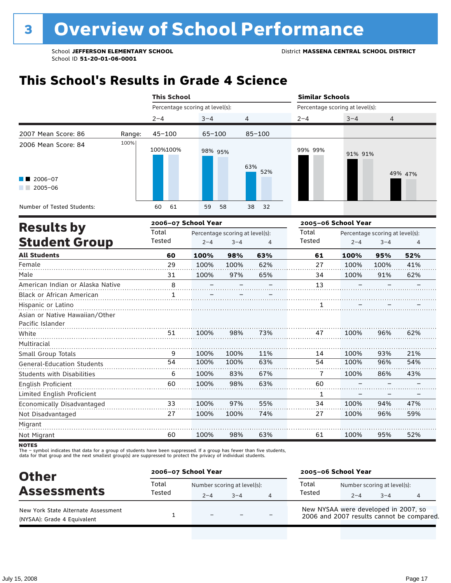## **This School's Results in Grade 4 Science**

|                                                                               |        | <b>This School</b>                      |            |                | <b>Similar Schools</b>          |         |         |
|-------------------------------------------------------------------------------|--------|-----------------------------------------|------------|----------------|---------------------------------|---------|---------|
|                                                                               |        | Percentage scoring at level(s):         |            |                | Percentage scoring at level(s): |         |         |
|                                                                               |        | $2 - 4$                                 | $3 - 4$    | $\overline{4}$ | $2 - 4$                         | $3 - 4$ | 4       |
| 2007 Mean Score: 86                                                           | Range: | $45 - 100$                              | $65 - 100$ | $85 - 100$     |                                 |         |         |
| 2006 Mean Score: 84<br>$\blacksquare$ 2006-07<br>2005-06<br><b>CONTRACTOR</b> | 100%   | 100%100%                                | 98% 95%    | 63%<br>52%     | 99% 99%                         | 91% 91% | 49% 47% |
| Number of Tested Students:                                                    |        | 61<br>60                                | 59<br>58   | 38<br>32       |                                 |         |         |
|                                                                               |        | $- - - - - - - - - - - - - - - - - - -$ |            |                |                                 |         |         |

|                                   |        | 2006-07 School Year |                                 |     | 2005-06 School Year |         |                                 |     |
|-----------------------------------|--------|---------------------|---------------------------------|-----|---------------------|---------|---------------------------------|-----|
| <b>Results by</b>                 | Total  |                     | Percentage scoring at level(s): |     | Total               |         | Percentage scoring at level(s): |     |
| <b>Student Group</b>              | Tested | $2 - 4$             | $3 - 4$                         | 4   | Tested              | $2 - 4$ | $3 - 4$                         | 4   |
| <b>All Students</b>               | 60     | 100%                | 98%                             | 63% | 61                  | 100%    | 95%                             | 52% |
| Female                            | 29     | 100%                | 100%                            | 62% | 27                  | 100%    | 100%                            | 41% |
| Male                              | 31     | 100%                | 97%                             | 65% | 34                  | 100%    | 91%                             | 62% |
| American Indian or Alaska Native  | 8      |                     |                                 |     | 13                  |         |                                 |     |
| <b>Black or African American</b>  | 1      |                     |                                 |     |                     |         |                                 |     |
| Hispanic or Latino                |        |                     |                                 |     | 1                   |         |                                 |     |
| Asian or Native Hawaiian/Other    |        |                     |                                 |     |                     |         |                                 |     |
| Pacific Islander                  |        |                     |                                 |     |                     |         |                                 |     |
| White                             | 51     | 100%                | 98%                             | 73% | 47                  | 100%    | 96%                             | 62% |
| Multiracial                       |        |                     |                                 |     |                     |         |                                 |     |
| Small Group Totals                | 9      | 100%                | 100%                            | 11% | 14                  | 100%    | 93%                             | 21% |
| <b>General-Education Students</b> | 54     | 100%                | 100%                            | 63% | 54                  | 100%    | 96%                             | 54% |
| <b>Students with Disabilities</b> | 6      | 100%                | 83%                             | 67% | 7                   | 100%    | 86%                             | 43% |
| English Proficient                | 60     | 100%                | 98%                             | 63% | 60                  |         |                                 |     |
| Limited English Proficient        |        |                     |                                 |     | 1                   |         |                                 |     |
| Economically Disadvantaged        | 33     | 100%                | 97%                             | 55% | 34                  | 100%    | 94%                             | 47% |
| Not Disadvantaged                 | 27     | 100%                | 100%                            | 74% | 27                  | 100%    | 96%                             | 59% |
| Migrant                           |        |                     |                                 |     |                     |         |                                 |     |
| Not Migrant                       | 60     | 100%                | 98%                             | 63% | 61                  | 100%    | 95%                             | 52% |

**NOTES** 

The – symbol indicates that data for a group of students have been suppressed. If a group has fewer than five students,<br>data for that group and the next smallest group(s) are suppressed to protect the privacy of individual

| <b>Other</b>                                                       | 2006-07 School Year |                          |                                     |   | 2005-06 School Year                                                               |         |                                        |  |
|--------------------------------------------------------------------|---------------------|--------------------------|-------------------------------------|---|-----------------------------------------------------------------------------------|---------|----------------------------------------|--|
| <b>Assessments</b>                                                 | Total<br>Tested     | $2 - 4$                  | Number scoring at level(s):<br>$-4$ | 4 | Total<br>Tested                                                                   | $2 - 4$ | Number scoring at level(s):<br>$3 - 4$ |  |
| New York State Alternate Assessment<br>(NYSAA): Grade 4 Equivalent |                     | $\overline{\phantom{0}}$ |                                     |   | New NYSAA were developed in 2007, so<br>2006 and 2007 results cannot be compared. |         |                                        |  |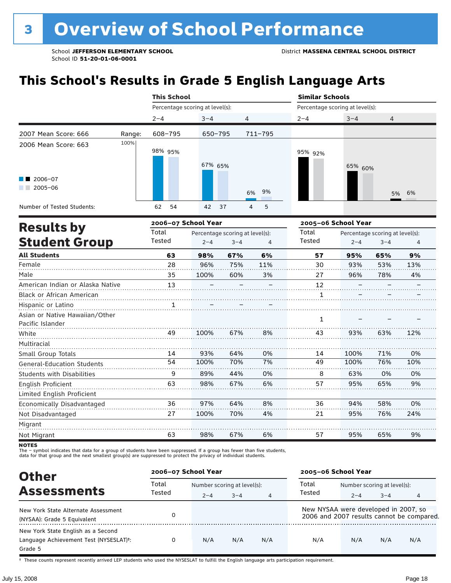## **This School's Results in Grade 5 English Language Arts**

|                                                           |        | <b>This School</b>              |          |          | <b>Similar Schools</b>          |                  |  |  |
|-----------------------------------------------------------|--------|---------------------------------|----------|----------|---------------------------------|------------------|--|--|
|                                                           |        | Percentage scoring at level(s): |          |          | Percentage scoring at level(s): |                  |  |  |
|                                                           |        | $2 - 4$                         | $3 - 4$  | 4        | $2 - 4$                         | $3 - 4$<br>4     |  |  |
| 2007 Mean Score: 666                                      | Range: | 608-795                         | 650-795  | 711-795  |                                 |                  |  |  |
| 2006 Mean Score: 663<br>$\blacksquare$ 2006-07<br>2005-06 | 100%   | 98% 95%                         | 67% 65%  | 9%<br>6% | 95% 92%                         | 65% 60%<br>5% 6% |  |  |
| Number of Tested Students:                                |        | 62<br>54                        | 42<br>37 | 5<br>4   |                                 |                  |  |  |

|                                                    |        | 2006-07 School Year |                                 |     | 2005-06 School Year |         |                                 |     |
|----------------------------------------------------|--------|---------------------|---------------------------------|-----|---------------------|---------|---------------------------------|-----|
| <b>Results by</b>                                  | Total  |                     | Percentage scoring at level(s): |     | Total               |         | Percentage scoring at level(s): |     |
| <b>Student Group</b>                               | Tested | $2 - 4$             | $3 - 4$                         | 4   | Tested              | $2 - 4$ | $3 - 4$                         | 4   |
| <b>All Students</b>                                | 63     | 98%                 | 67%                             | 6%  | 57                  | 95%     | 65%                             | 9%  |
| Female                                             | 28     | 96%                 | 75%                             | 11% | 30                  | 93%     | 53%                             | 13% |
| Male                                               | 35     | 100%                | 60%                             | 3%  | 27                  | 96%     | 78%                             | 4%  |
| American Indian or Alaska Native                   | 13     |                     |                                 |     | 12                  |         |                                 |     |
| <b>Black or African American</b>                   |        |                     |                                 |     | 1                   |         |                                 |     |
| Hispanic or Latino                                 | 1      |                     |                                 |     |                     |         |                                 |     |
| Asian or Native Hawaiian/Other<br>Pacific Islander |        |                     |                                 |     | 1                   |         |                                 |     |
| White                                              | 49     | 100%                | 67%                             | 8%  | 43                  | 93%     | 63%                             | 12% |
| Multiracial                                        |        |                     |                                 |     |                     |         |                                 |     |
| Small Group Totals                                 | 14     | 93%                 | 64%                             | 0%  | 14                  | 100%    | 71%                             | 0%  |
| <b>General-Education Students</b>                  | 54     | 100%                | 70%                             | 7%  | 49                  | 100%    | 76%                             | 10% |
| <b>Students with Disabilities</b>                  | 9      | 89%                 | 44%                             | 0%  | 8                   | 63%     | 0%                              | 0%  |
| English Proficient                                 | 63     | 98%                 | 67%                             | 6%  | 57                  | 95%     | 65%                             | 9%  |
| Limited English Proficient                         |        |                     |                                 |     |                     |         |                                 |     |
| Economically Disadvantaged                         | 36     | 97%                 | 64%                             | 8%  | 36                  | 94%     | 58%                             | 0%  |
| Not Disadvantaged                                  | 27     | 100%                | 70%                             | 4%  | 21                  | 95%     | 76%                             | 24% |
| Migrant                                            |        |                     |                                 |     |                     |         |                                 |     |
| Not Migrant                                        | 63     | 98%                 | 67%                             | 6%  | 57                  | 95%     | 65%                             | 9%  |
|                                                    |        |                     |                                 |     |                     |         |                                 |     |

NOTES<br>The – symbol indicates that data for a group of students have been suppressed. If a group has fewer than five students,<br>data for that group and the next smallest group(s) are suppressed to protect the privacy of indi

| <b>Other</b>                                                                                         | 2006-07 School Year |         |                             |                | 2005-06 School Year                  |                             |         |                                           |
|------------------------------------------------------------------------------------------------------|---------------------|---------|-----------------------------|----------------|--------------------------------------|-----------------------------|---------|-------------------------------------------|
|                                                                                                      | Total               |         | Number scoring at level(s): |                |                                      | Number scoring at level(s): |         |                                           |
| <b>Assessments</b>                                                                                   | Tested              | $2 - 4$ | $3 - 4$                     | $\overline{4}$ | Tested                               | $2 - 4$                     | $3 - 4$ | 4                                         |
| New York State Alternate Assessment<br>(NYSAA): Grade 5 Equivalent                                   |                     |         |                             |                | New NYSAA were developed in 2007, so |                             |         | 2006 and 2007 results cannot be compared. |
| New York State English as a Second<br>Language Achievement Test (NYSESLAT) <sup>+</sup> :<br>Grade 5 | 0                   | N/A     | N/A                         | N/A            | N/A                                  | N/A                         | N/A     | N/A                                       |

† These counts represent recently arrived LEP students who used the NYSESLAT to fulfill the English language arts participation requirement.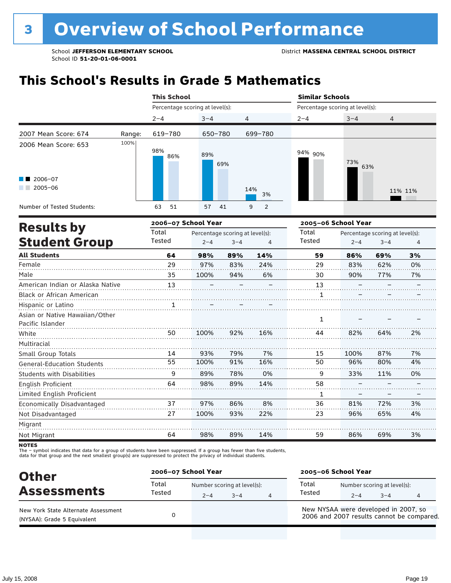## **This School's Results in Grade 5 Mathematics**

|                                                               |        | <b>This School</b>              |            |                     | <b>Similar Schools</b>          |            |                |
|---------------------------------------------------------------|--------|---------------------------------|------------|---------------------|---------------------------------|------------|----------------|
|                                                               |        | Percentage scoring at level(s): |            |                     | Percentage scoring at level(s): |            |                |
|                                                               |        | $2 - 4$                         | $3 - 4$    | $\overline{4}$      | $2 - 4$                         | $3 - 4$    | $\overline{4}$ |
| 2007 Mean Score: 674                                          | Range: | 619-780                         | 650-780    | 699-780             |                                 |            |                |
| 2006 Mean Score: 653<br>$\blacksquare$ 2006-07<br>$2005 - 06$ | 100%   | 98%<br>86%                      | 89%<br>69% | 14%<br>3%           | 94% 90%                         | 73%<br>63% | 11% 11%        |
| Number of Tested Students:                                    |        | 51<br>63                        | 57<br>41   | $\overline{2}$<br>9 |                                 |            |                |

|                                                    |        | 2006-07 School Year |                                 | 2005-06 School Year |              |         |                                 |    |  |
|----------------------------------------------------|--------|---------------------|---------------------------------|---------------------|--------------|---------|---------------------------------|----|--|
| <b>Results by</b>                                  | Total  |                     | Percentage scoring at level(s): |                     | Total        |         | Percentage scoring at level(s): |    |  |
| <b>Student Group</b>                               | Tested | $2 - 4$             | $3 - 4$                         | 4                   | Tested       | $2 - 4$ | $3 - 4$                         | 4  |  |
| <b>All Students</b>                                | 64     | 98%                 | 89%                             | 14%                 | 59           | 86%     | 69%                             | 3% |  |
| Female                                             | 29     | 97%                 | 83%                             | 24%                 | 29           | 83%     | 62%                             | 0% |  |
| Male                                               | 35     | 100%                | 94%                             | 6%                  | 30           | 90%     | 77%                             | 7% |  |
| American Indian or Alaska Native                   | 13     |                     |                                 |                     | 13           |         |                                 |    |  |
| <b>Black or African American</b>                   |        |                     |                                 |                     | 1            |         |                                 |    |  |
| Hispanic or Latino                                 | 1      |                     |                                 |                     |              |         |                                 |    |  |
| Asian or Native Hawaiian/Other<br>Pacific Islander |        |                     |                                 |                     | $\mathbf{1}$ |         |                                 |    |  |
| White                                              | 50     | 100%                | 92%                             | 16%                 | 44           | 82%     | 64%                             | 2% |  |
| Multiracial                                        |        |                     |                                 |                     |              |         |                                 |    |  |
| Small Group Totals                                 | 14     | 93%                 | 79%                             | 7%                  | 15           | 100%    | 87%                             | 7% |  |
| <b>General-Education Students</b>                  | 55     | 100%                | 91%                             | 16%                 | 50           | 96%     | 80%                             | 4% |  |
| <b>Students with Disabilities</b>                  | 9      | 89%                 | 78%                             | 0%                  | 9            | 33%     | 11%                             | 0% |  |
| English Proficient                                 | 64     | 98%                 | 89%                             | 14%                 | 58           |         |                                 |    |  |
| Limited English Proficient                         |        |                     |                                 |                     | 1            |         |                                 |    |  |
| Economically Disadvantaged                         | 37     | 97%                 | 86%                             | 8%                  | 36           | 81%     | 72%                             | 3% |  |
| Not Disadvantaged                                  | 27     | 100%                | 93%                             | 22%                 | 23           | 96%     | 65%                             | 4% |  |
| Migrant                                            |        |                     |                                 |                     |              |         |                                 |    |  |
| Not Migrant                                        | 64     | 98%                 | 89%                             | 14%                 | 59           | 86%     | 69%                             | 3% |  |

**NOTES** 

The – symbol indicates that data for a group of students have been suppressed. If a group has fewer than five students,<br>data for that group and the next smallest group(s) are suppressed to protect the privacy of individual

| <b>Other</b>                                                       | 2006-07 School Year |         |                                     |   | 2005-06 School Year                                                               |                                        |         |  |  |
|--------------------------------------------------------------------|---------------------|---------|-------------------------------------|---|-----------------------------------------------------------------------------------|----------------------------------------|---------|--|--|
| <b>Assessments</b>                                                 | Total<br>Tested     | $2 - 4$ | Number scoring at level(s):<br>$-4$ | 4 | Total<br>Tested                                                                   | Number scoring at level(s):<br>$2 - 4$ | $3 - 4$ |  |  |
| New York State Alternate Assessment<br>(NYSAA): Grade 5 Equivalent |                     |         |                                     |   | New NYSAA were developed in 2007, so<br>2006 and 2007 results cannot be compared. |                                        |         |  |  |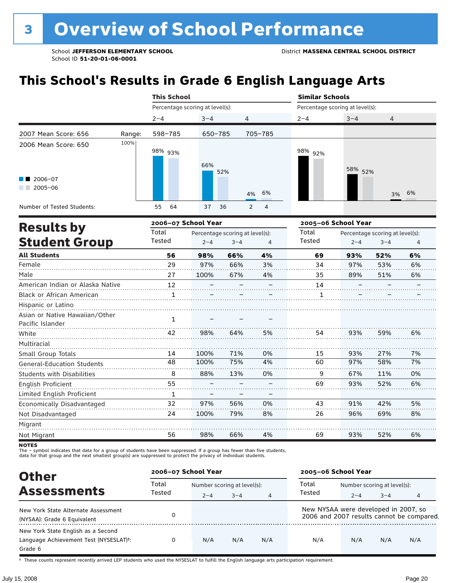## **This School's Results in Grade 6 English Language Arts**

|                                                           |                     | <b>This School</b>              |            | <b>Similar Schools</b> |                                 |                     |                |  |  |
|-----------------------------------------------------------|---------------------|---------------------------------|------------|------------------------|---------------------------------|---------------------|----------------|--|--|
|                                                           |                     | Percentage scoring at level(s): |            |                        | Percentage scoring at level(s): |                     |                |  |  |
|                                                           |                     | $2 - 4$                         | $3 - 4$    | 4                      | $2 - 4$                         | $3 - 4$             | $\overline{4}$ |  |  |
| 2007 Mean Score: 656                                      | Range:              | 598-785                         | 650-785    | 705-785                |                                 |                     |                |  |  |
| 2006 Mean Score: 650<br>$\blacksquare$ 2006-07<br>2005-06 | 100%                | 98% <sub>93%</sub>              | 66%<br>52% | 4% 6%                  | 98% <sub>92%</sub>              | 58% 52%             | 3% 6%          |  |  |
| Number of Tested Students:                                |                     | 55<br>64                        | 37<br>36   | 2<br>4                 |                                 |                     |                |  |  |
| Deculte his                                               | 2006-07 School Year |                                 |            |                        |                                 | 2005-06 School Year |                |  |  |

|        |                                 |         |                     | 2005–06 School Year |                                 |         |    |  |
|--------|---------------------------------|---------|---------------------|---------------------|---------------------------------|---------|----|--|
| Total  | Percentage scoring at level(s): |         |                     | Total               | Percentage scoring at level(s): |         |    |  |
| Tested | $2 - 4$                         | $3 - 4$ | 4                   | Tested              | $2 - 4$                         | $3 - 4$ | 4  |  |
| 56     | 98%                             | 66%     | 4%                  | 69                  | 93%                             | 52%     | 6% |  |
| 29     | 97%                             | 66%     | 3%                  | 34                  | 97%                             | 53%     | 6% |  |
| 27     | 100%                            | 67%     | 4%                  | 35                  | 89%                             | 51%     | 6% |  |
| 12     |                                 |         |                     | 14                  |                                 |         |    |  |
| 1      |                                 |         |                     | 1                   |                                 |         |    |  |
|        |                                 |         |                     |                     |                                 |         |    |  |
|        |                                 |         |                     |                     |                                 |         |    |  |
|        |                                 |         |                     |                     |                                 |         |    |  |
| 42     | 98%                             | 64%     | 5%                  | 54                  | 93%                             | 59%     | 6% |  |
|        |                                 |         |                     |                     |                                 |         |    |  |
| 14     | 100%                            | 71%     | 0%                  | 15                  | 93%                             | 27%     | 7% |  |
| 48     | 100%                            | 75%     | 4%                  | 60                  | 97%                             | 58%     | 7% |  |
| 8      | 88%                             | 13%     | 0%                  | 9                   | 67%                             | 11%     | 0% |  |
| 55     |                                 |         |                     | 69                  | 93%                             | 52%     | 6% |  |
| 1      |                                 |         |                     |                     |                                 |         |    |  |
| 32     | 97%                             | 56%     | 0%                  | 43                  | 91%                             | 42%     | 5% |  |
| 24     | 100%                            | 79%     | 8%                  | 26                  | 96%                             | 69%     | 8% |  |
|        |                                 |         |                     |                     |                                 |         |    |  |
| 56     | 98%                             | 66%     | 4%                  | 69                  | 93%                             | 52%     | 6% |  |
|        | 1                               |         | 2006–07 School Year |                     |                                 |         |    |  |

**NOTES** 

The – symbol indicates that data for a group of students have been suppressed. If a group has fewer than five students,<br>data for that group and the next smallest group(s) are suppressed to protect the privacy of individual

| <b>Other</b>                                                                            | 2006-07 School Year |                             |         |                | 2005-06 School Year                  |                             |         |                                           |
|-----------------------------------------------------------------------------------------|---------------------|-----------------------------|---------|----------------|--------------------------------------|-----------------------------|---------|-------------------------------------------|
|                                                                                         | Total<br>Tested     | Number scoring at level(s): |         |                | Total                                | Number scoring at level(s): |         |                                           |
| <b>Assessments</b>                                                                      |                     | $2 - 4$                     | $3 - 4$ | $\overline{4}$ | Tested                               | $2 - 4$                     | $3 - 4$ | 4                                         |
| New York State Alternate Assessment<br>(NYSAA): Grade 6 Equivalent                      |                     |                             |         |                | New NYSAA were developed in 2007, so |                             |         | 2006 and 2007 results cannot be compared. |
| New York State English as a Second<br>Language Achievement Test (NYSESLAT)t:<br>Grade 6 | 0                   | N/A                         | N/A     | N/A            | N/A                                  | N/A                         | N/A     | N/A                                       |

† These counts represent recently arrived LEP students who used the NYSESLAT to fulfill the English language arts participation requirement.